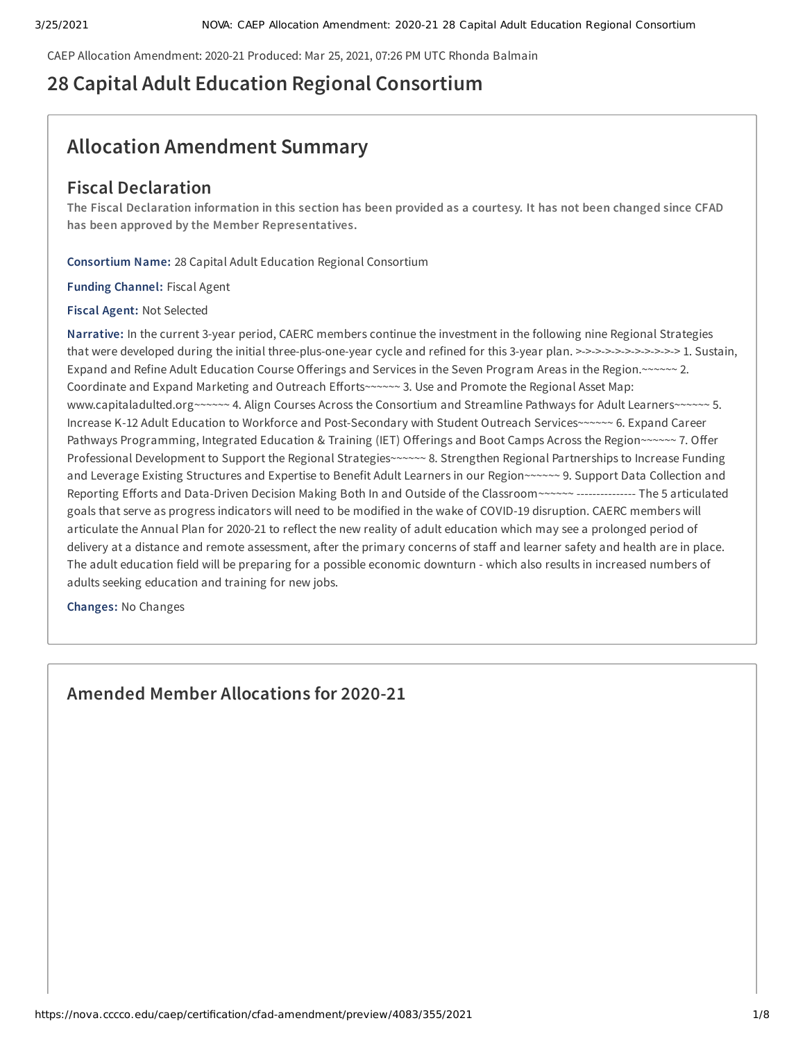CAEP Allocation Amendment: 2020-21 Produced: Mar 25, 2021, 07:26 PM UTC Rhonda Balmain

# **28 Capital Adult Education Regional Consortium**

# **Allocation Amendment Summary**

# **Fiscal Declaration**

The Fiscal Declaration information in this section has been provided as a courtesy. It has not been changed since CFAD **has been approved by the Member Representatives.**

**Consortium Name:** 28 Capital Adult Education Regional Consortium

**Funding Channel:** Fiscal Agent

**Fiscal Agent:** Not Selected

**Narrative:** In the current 3-year period, CAERC members continue the investment in the following nine Regional Strategies that were developed during the initial three-plus-one-year cycle and refined for this 3-year plan. >->->->->->->->->->-> 1. Sustain, Expand and Refine Adult Education Course Offerings and Services in the Seven Program Areas in the Region.~~~~~~ 2. Coordinate and Expand Marketing and Outreach Efforts~~~~~~ 3. Use and Promote the Regional Asset Map: www.capitaladulted.org~~~~~~ 4. Align Courses Across the Consortium and Streamline Pathways for Adult Learners~~~~~~ 5. Increase K-12 Adult Education to Workforce and Post-Secondary with Student Outreach Services~~~~~~ 6. Expand Career Pathways Programming, Integrated Education & Training (IET) Offerings and Boot Camps Across the Region~~~~~~ 7. Offer Professional Development to Support the Regional Strategies~~~~~~ 8. Strengthen Regional Partnerships to Increase Funding and Leverage Existing Structures and Expertise to Benefit Adult Learners in our Region~~~~~~ 9. Support Data Collection and Reporting Efforts and Data-Driven Decision Making Both In and Outside of the Classroom~~~~~~ --------------- The 5 articulated goals that serve as progress indicators will need to be modified in the wake of COVID-19 disruption. CAERC members will articulate the Annual Plan for 2020-21 to reflect the new reality of adult education which may see a prolonged period of delivery at a distance and remote assessment, after the primary concerns of staff and learner safety and health are in place. The adult education field will be preparing for a possible economic downturn - which also results in increased numbers of adults seeking education and training for new jobs.

**Changes:** No Changes

**Amended Member Allocations for 2020-21**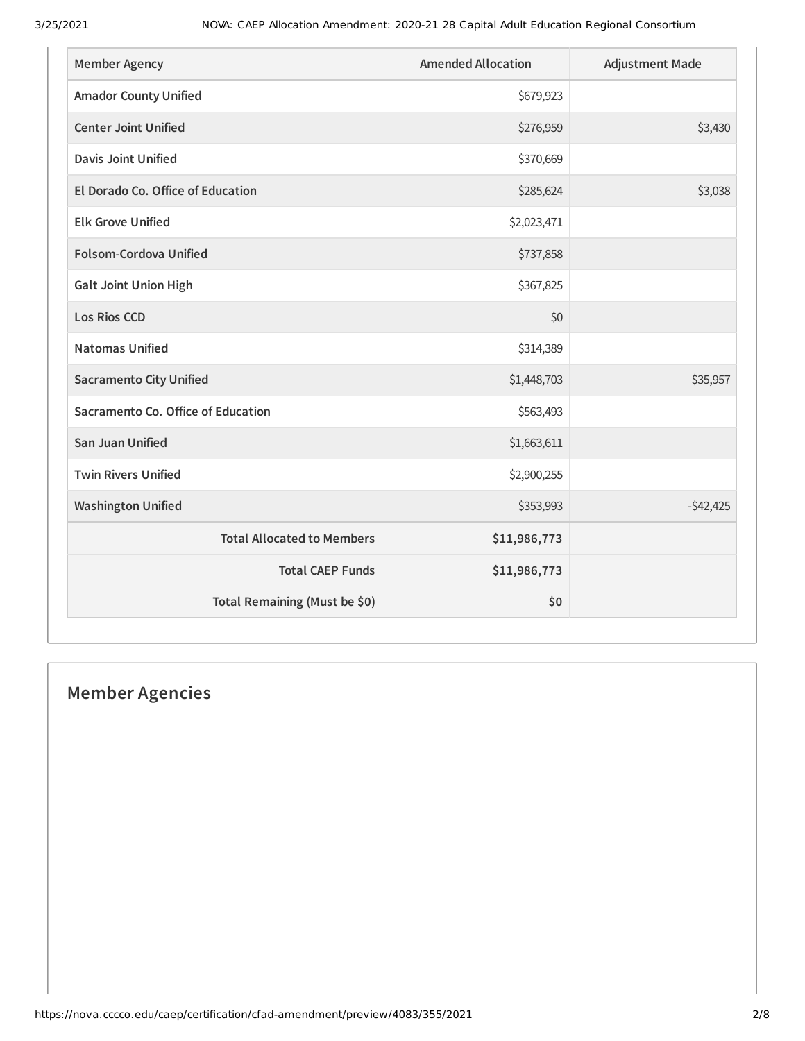| <b>Member Agency</b>               | <b>Amended Allocation</b> | <b>Adjustment Made</b> |
|------------------------------------|---------------------------|------------------------|
| <b>Amador County Unified</b>       | \$679,923                 |                        |
| <b>Center Joint Unified</b>        | \$276,959                 | \$3,430                |
| <b>Davis Joint Unified</b>         | \$370,669                 |                        |
| El Dorado Co. Office of Education  | \$285,624                 | \$3,038                |
| <b>Elk Grove Unified</b>           | \$2,023,471               |                        |
| <b>Folsom-Cordova Unified</b>      | \$737,858                 |                        |
| <b>Galt Joint Union High</b>       | \$367,825                 |                        |
| <b>Los Rios CCD</b>                | \$0                       |                        |
| <b>Natomas Unified</b>             | \$314,389                 |                        |
| <b>Sacramento City Unified</b>     | \$1,448,703               | \$35,957               |
| Sacramento Co. Office of Education | \$563,493                 |                        |
| <b>San Juan Unified</b>            | \$1,663,611               |                        |
| <b>Twin Rivers Unified</b>         | \$2,900,255               |                        |
| <b>Washington Unified</b>          | \$353,993                 | $-542,425$             |
| <b>Total Allocated to Members</b>  | \$11,986,773              |                        |
| <b>Total CAEP Funds</b>            | \$11,986,773              |                        |
| Total Remaining (Must be \$0)      | \$0                       |                        |

# **Member Agencies**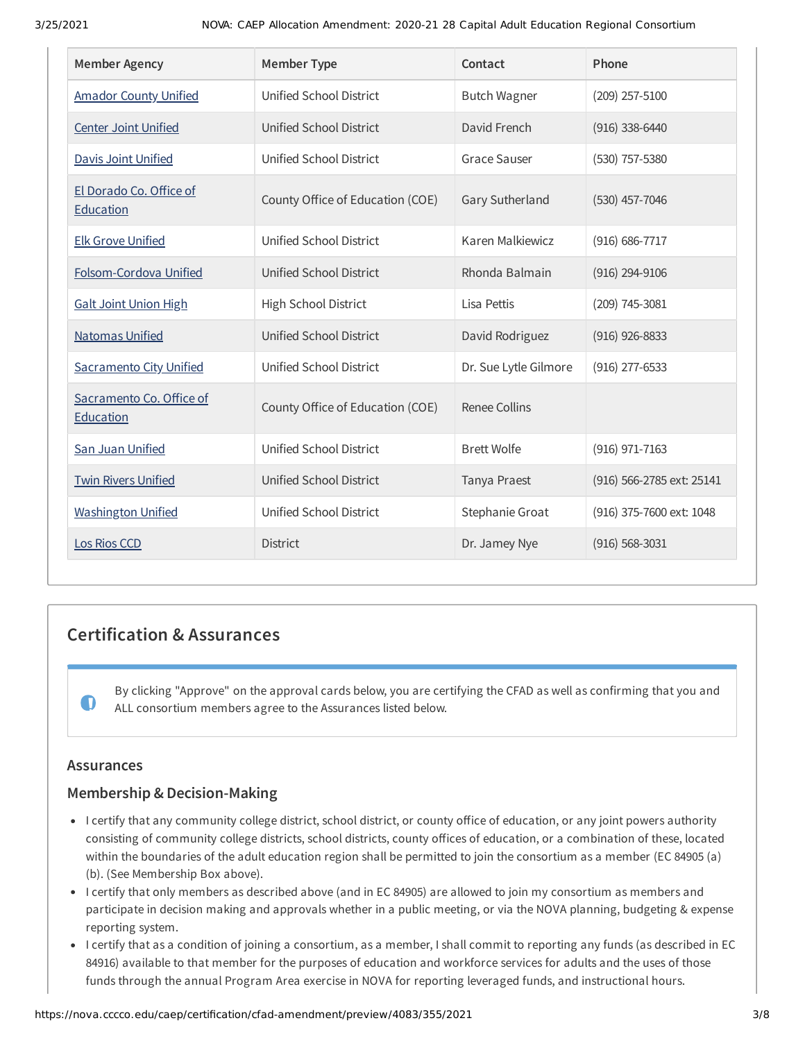| <b>Member Agency</b>                  | <b>Member Type</b>               | Contact               | Phone                     |
|---------------------------------------|----------------------------------|-----------------------|---------------------------|
| <b>Amador County Unified</b>          | Unified School District          | <b>Butch Wagner</b>   | $(209)$ 257-5100          |
| <b>Center Joint Unified</b>           | Unified School District          | David French          | $(916)$ 338-6440          |
| <b>Davis Joint Unified</b>            | Unified School District          | <b>Grace Sauser</b>   | (530) 757-5380            |
| El Dorado Co. Office of<br>Education  | County Office of Education (COE) | Gary Sutherland       | $(530)$ 457-7046          |
| <b>Elk Grove Unified</b>              | Unified School District          | Karen Malkiewicz      | (916) 686-7717            |
| Folsom-Cordova Unified                | Unified School District          | Rhonda Balmain        | $(916)$ 294-9106          |
| <b>Galt Joint Union High</b>          | High School District             | Lisa Pettis           | (209) 745-3081            |
| <b>Natomas Unified</b>                | Unified School District          | David Rodriguez       | $(916)$ 926-8833          |
| <b>Sacramento City Unified</b>        | Unified School District          | Dr. Sue Lytle Gilmore | (916) 277-6533            |
| Sacramento Co. Office of<br>Education | County Office of Education (COE) | Renee Collins         |                           |
| San Juan Unified                      | Unified School District          | <b>Brett Wolfe</b>    | (916) 971-7163            |
| <b>Twin Rivers Unified</b>            | Unified School District          | Tanya Praest          | (916) 566-2785 ext: 25141 |
| <b>Washington Unified</b>             | Unified School District          | Stephanie Groat       | (916) 375-7600 ext: 1048  |
| Los Rios CCD                          | <b>District</b>                  | Dr. Jamey Nye         | $(916) 568 - 3031$        |

# **Certification & Assurances**

By clicking "Approve" on the approval cards below, you are certifying the CFAD as well as confirming that you and ALL consortium members agree to the Assurances listed below.

## **Assurances**

 $\bullet$ 

## **Membership & Decision-Making**

- I certify that any community college district, school district, or county office of education, or any joint powers authority consisting of community college districts, school districts, county offices of education, or a combination of these, located within the boundaries of the adult education region shall be permitted to join the consortium as a member (EC 84905 (a) (b). (See Membership Box above).
- I certify that only members as described above (and in EC 84905) are allowed to join my consortium as members and participate in decision making and approvals whether in a public meeting, or via the NOVA planning, budgeting & expense reporting system.
- I certify that as a condition of joining a consortium, as a member, I shall commit to reporting any funds (as described in EC 84916) available to that member for the purposes of education and workforce services for adults and the uses of those funds through the annual Program Area exercise in NOVA for reporting leveraged funds, and instructional hours.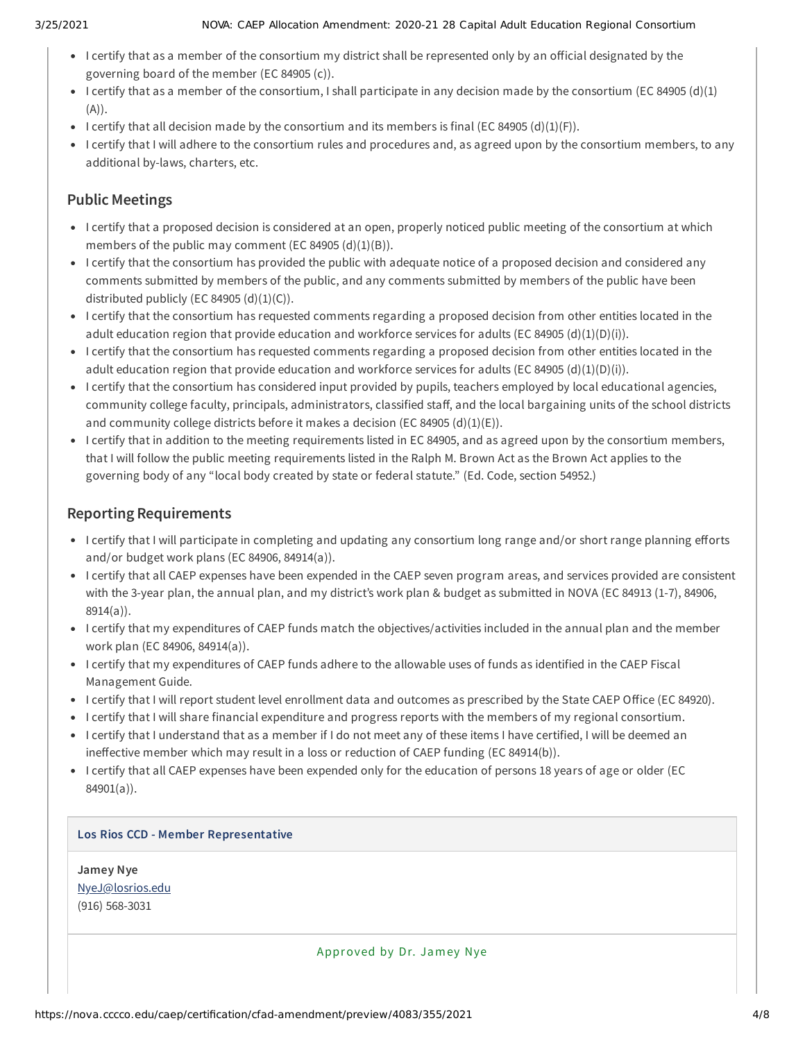- I certify that as a member of the consortium my district shall be represented only by an official designated by the governing board of the member (EC 84905 (c)).
- I certify that as a member of the consortium, I shall participate in any decision made by the consortium (EC 84905 (d)(1) (A)).
- I certify that all decision made by the consortium and its members is final (EC 84905 (d)(1)(F)).
- I certify that I will adhere to the consortium rules and procedures and, as agreed upon by the consortium members, to any additional by-laws, charters, etc.

# **Public Meetings**

- I certify that a proposed decision is considered at an open, properly noticed public meeting of the consortium at which members of the public may comment (EC 84905  $(d)(1)(B)$ ).
- I certify that the consortium has provided the public with adequate notice of a proposed decision and considered any comments submitted by members of the public, and any comments submitted by members of the public have been distributed publicly (EC 84905  $(d)(1)(C)$ ).
- I certify that the consortium has requested comments regarding a proposed decision from other entities located in the adult education region that provide education and workforce services for adults (EC 84905 (d)(1)(D)(i)).
- I certify that the consortium has requested comments regarding a proposed decision from other entities located in the adult education region that provide education and workforce services for adults (EC 84905 (d)(1)(D)(i)).
- I certify that the consortium has considered input provided by pupils, teachers employed by local educational agencies, community college faculty, principals, administrators, classified staff, and the local bargaining units of the school districts and community college districts before it makes a decision (EC 84905  $(d)(1)(E)$ ).
- I certify that in addition to the meeting requirements listed in EC 84905, and as agreed upon by the consortium members, that I will follow the public meeting requirements listed in the Ralph M. Brown Act as the Brown Act applies to the governing body of any "local body created by state or federal statute." (Ed. Code, section 54952.)

# **Reporting Requirements**

- I certify that I will participate in completing and updating any consortium long range and/or short range planning efforts and/or budget work plans (EC 84906, 84914(a)).
- I certify that all CAEP expenses have been expended in the CAEP seven program areas, and services provided are consistent with the 3-year plan, the annual plan, and my district's work plan & budget as submitted in NOVA (EC 84913 (1-7), 84906, 8914(a)).
- I certify that my expenditures of CAEP funds match the objectives/activities included in the annual plan and the member work plan (EC 84906, 84914(a)).
- I certify that my expenditures of CAEP funds adhere to the allowable uses of funds as identified in the CAEP Fiscal Management Guide.
- I certify that I will report student level enrollment data and outcomes as prescribed by the State CAEP Office (EC 84920).
- I certify that I will share financial expenditure and progress reports with the members of my regional consortium.
- I certify that I understand that as a member if I do not meet any of these items I have certified, I will be deemed an ineffective member which may result in a loss or reduction of CAEP funding (EC 84914(b)).
- I certify that all CAEP expenses have been expended only for the education of persons 18 years of age or older (EC 84901(a)).

### **Los Rios CCD - Member Representative**

**Jamey Nye** [NyeJ@losrios.edu](mailto:NyeJ@losrios.edu) (916) 568-3031

Approved by Dr. Jamey Nye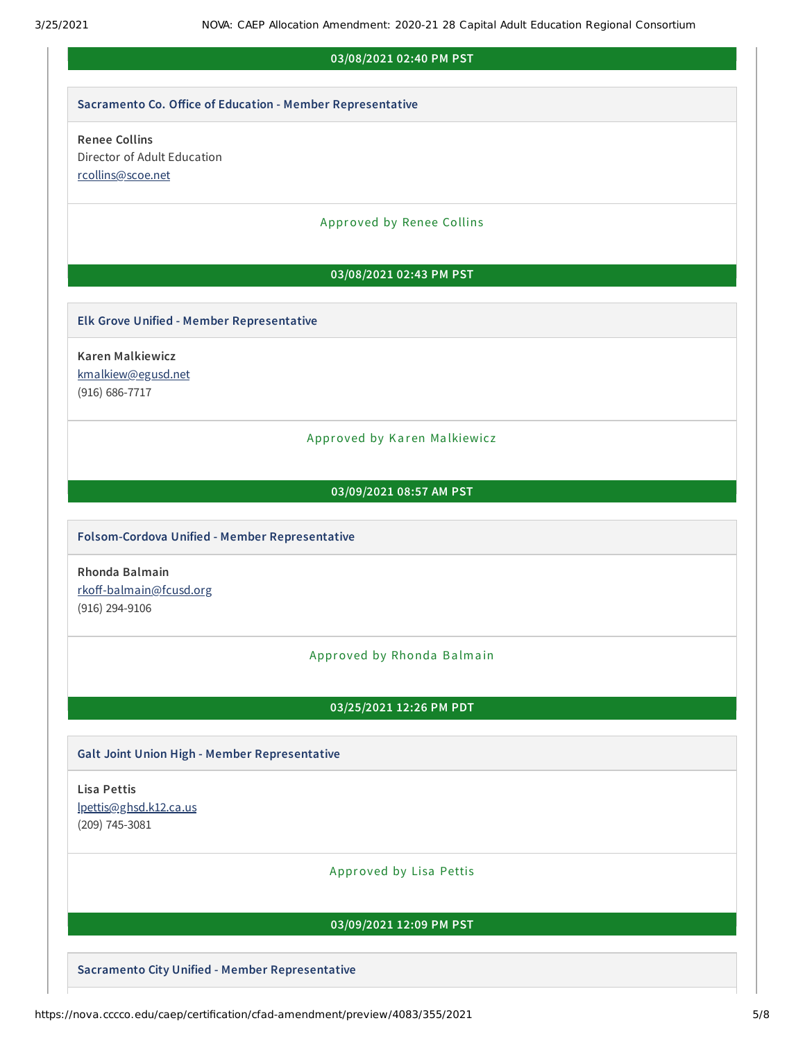#### **03/08/2021 02:40 PM PST**

#### **Sacramento Co. Oice of Education - Member Representative**

## **Renee Collins** Director of Adult Education [rcollins@scoe.net](mailto:rcollins@scoe.net)

#### Approved by Renee Collins

#### **03/08/2021 02:43 PM PST**

#### **Elk Grove Unified - Member Representative**

**Karen Malkiewicz** [kmalkiew@egusd.net](mailto:kmalkiew@egusd.net) (916) 686-7717

#### Approved by Karen Malkiewicz

### **03/09/2021 08:57 AM PST**

#### **Folsom-Cordova Unified - Member Representative**

**Rhonda Balmain** rkoff-balmain@fcusd.org (916) 294-9106

#### Approved by Rhonda Balmain

#### **03/25/2021 12:26 PM PDT**

#### **Galt Joint Union High - Member Representative**

**Lisa Pettis** [lpettis@ghsd.k12.ca.us](mailto:lpettis@ghsd.k12.ca.us) (209) 745-3081

#### Approved by Lisa Pettis

#### **03/09/2021 12:09 PM PST**

**Sacramento City Unified - Member Representative**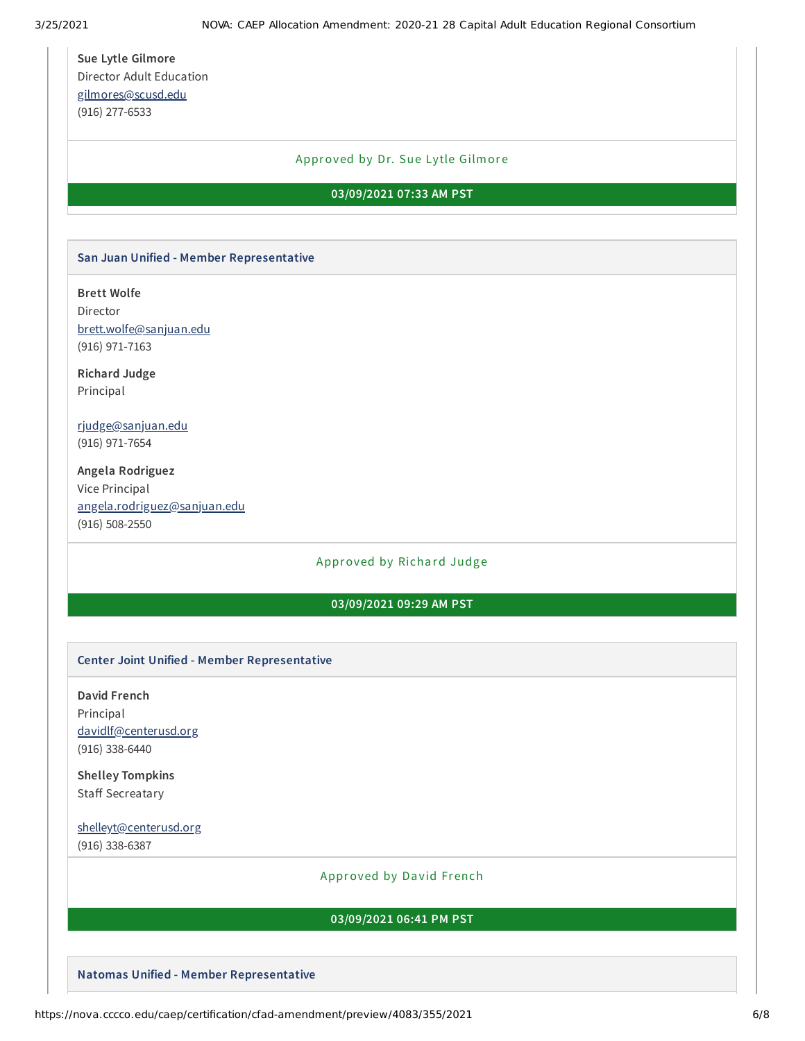**Sue Lytle Gilmore** Director Adult Education [gilmores@scusd.edu](mailto:gilmores@scusd.edu) (916) 277-6533

#### Approved by Dr. Sue Lytle Gilmore

#### **03/09/2021 07:33 AM PST**

#### **San Juan Unified - Member Representative**

**Brett Wolfe** Director [brett.wolfe@sanjuan.edu](mailto:brett.wolfe@sanjuan.edu)

**Richard Judge** Principal

(916) 971-7163

[rjudge@sanjuan.edu](mailto:rjudge@sanjuan.edu) (916) 971-7654

**Angela Rodriguez** Vice Principal [angela.rodriguez@sanjuan.edu](mailto:angela.rodriguez@sanjuan.edu) (916) 508-2550

#### Approved by Richard Judge

#### **03/09/2021 09:29 AM PST**

#### **Center Joint Unified - Member Representative**

**David French** Principal [davidlf@centerusd.org](mailto:davidlf@centerusd.org) (916) 338-6440

**Shelley Tompkins** Staff Secreatary

[shelleyt@centerusd.org](mailto:shelleyt@centerusd.org) (916) 338-6387

#### Approved by David French

#### **03/09/2021 06:41 PM PST**

**Natomas Unified - Member Representative**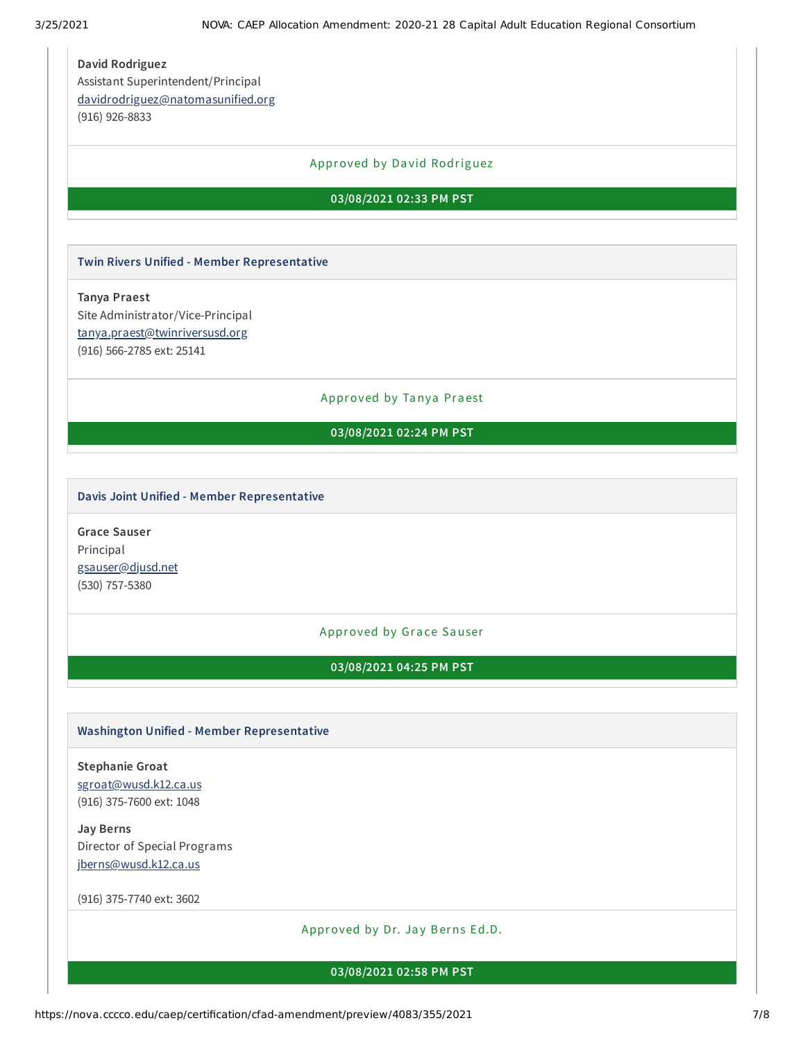**David Rodriguez** Assistant Superintendent/Principal [davidrodriguez@natomasunified.org](mailto:davidrodriguez@natomasunified.org) (916) 926-8833

#### Approved by Da vid Rodriguez

#### **03/08/2021 02:33 PM PST**

**Twin Rivers Unified - Member Representative**

**Tanya Praest** Site Administrator/Vice-Principal [tanya.praest@twinriversusd.org](mailto:tanya.praest@twinriversusd.org) (916) 566-2785 ext: 25141

Approved by Tanya Praest

## **03/08/2021 02:24 PM PST**

#### **Davis Joint Unified - Member Representative**

**Grace Sauser** Principal [gsauser@djusd.net](mailto:gsauser@djusd.net) (530) 757-5380

Approved by Grace Sauser

**03/08/2021 04:25 PM PST**

#### **Washington Unified - Member Representative**

**Stephanie Groat** [sgroat@wusd.k12.ca.us](mailto:sgroat@wusd.k12.ca.us) (916) 375-7600 ext: 1048

**Jay Berns** Director of Special Programs [jberns@wusd.k12.ca.us](mailto:jberns@wusd.k12.ca.us)

(916) 375-7740 ext: 3602

Approved by Dr. Jay Berns Ed.D.

**03/08/2021 02:58 PM PST**